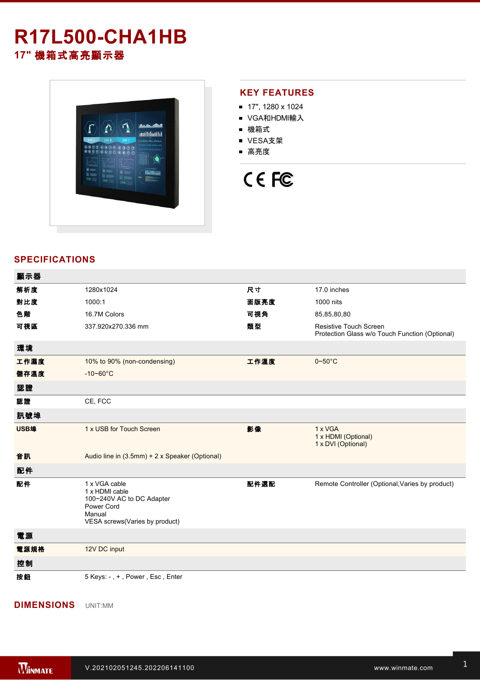## **R17L500-CHA1HB 17"** 機箱式高亮顯示器



### **KEY FEATURES**

- 17", 1280 x 1024
- VGA和HDMI輸入
- 機箱式
- VESA支架
- 高亮度

# CE FC

### **SPECIFICATIONS**

| 顯示器  |                                                                                                                        |      |                                                                                 |
|------|------------------------------------------------------------------------------------------------------------------------|------|---------------------------------------------------------------------------------|
| 解析度  | 1280x1024                                                                                                              | 尺寸   | 17.0 inches                                                                     |
| 對比度  | 1000:1                                                                                                                 | 面版亮度 | 1000 nits                                                                       |
| 色階   | 16.7M Colors                                                                                                           | 可視角  | 85,85,80,80                                                                     |
| 可視區  | 337.920x270.336 mm                                                                                                     | 類型   | <b>Resistive Touch Screen</b><br>Protection Glass w/o Touch Function (Optional) |
| 環境   |                                                                                                                        |      |                                                                                 |
| 工作濕度 | 10% to 90% (non-condensing)                                                                                            | 工作溫度 | $0 - 50^{\circ}$ C                                                              |
| 儲存溫度 | $-10 - 60^{\circ}C$                                                                                                    |      |                                                                                 |
| 認證   |                                                                                                                        |      |                                                                                 |
| 認證   | CE, FCC                                                                                                                |      |                                                                                 |
| 訊號埠  |                                                                                                                        |      |                                                                                 |
| USB埠 | 1 x USB for Touch Screen                                                                                               | 影像   | 1 x VGA<br>1 x HDMI (Optional)<br>1 x DVI (Optional)                            |
| 音訊   | Audio line in (3.5mm) + 2 x Speaker (Optional)                                                                         |      |                                                                                 |
| 配件   |                                                                                                                        |      |                                                                                 |
| 配件   | 1 x VGA cable<br>1 x HDMI cable<br>100~240V AC to DC Adapter<br>Power Cord<br>Manual<br>VESA screws(Varies by product) | 配件選配 | Remote Controller (Optional, Varies by product)                                 |
| 電源   |                                                                                                                        |      |                                                                                 |
| 電源規格 | 12V DC input                                                                                                           |      |                                                                                 |
| 控制   |                                                                                                                        |      |                                                                                 |
| 按鈕   | 5 Keys: -, +, Power, Esc, Enter                                                                                        |      |                                                                                 |

**DIMENSIONS**  UNIT:MM